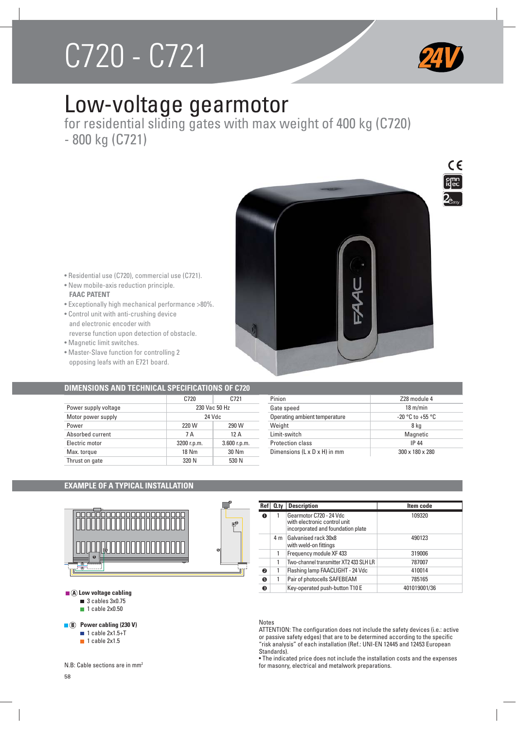# C<sub>7</sub>20 - C721<br>C<sub>7</sub>21 - C721 - C721 - C721 - C721 - C721 - C721 - C721 - C721 - C721 - C721 - C721 - C721 - C721 - C721 - C72<br>C721 - C721 - C721 - C721 - C721 - C721 - C721 - C721 - C721 - C721 - C721 - C721 - C721 - C721 -



# Low-voltage gearmotor

for residential sliding gates with max weight of 400 kg (C720) - 800 kg (C721)





• Residential use (C720), commercial use (C721).

# • New mobile-axis reduction principle. **FAAC PATENT**

- Exceptionally high mechanical performance >80%.
- Control unit with anti-crushing device and electronic encoder with reverse function upon detection of obstacle.
- Magnetic limit switches.
- Master-Slave function for controlling 2 opposing leafs with an E721 board.

# **DIMENSIONS AND TECHNICAL SPECIFICATIONS OF C720**

|                      | C720          | C721           |  |
|----------------------|---------------|----------------|--|
| Power supply voltage | 230 Vac 50 Hz |                |  |
| Motor power supply   | 24 Vdc        |                |  |
| Power                | 220 W         | 290 W          |  |
| Absorbed current     | 7 A           | 12A            |  |
| Electric motor       | 3200 r.p.m.   | $3.600$ r.p.m. |  |
| Max. torque          | 18 Nm         | 30 Nm          |  |
| Thrust on gate       | 320 N         | 530 N          |  |
|                      |               |                |  |

| Pinion                                   | Z28 module 4         |
|------------------------------------------|----------------------|
| Gate speed                               | $18 \text{ m/min}$   |
| Operating ambient temperature            | $-20$ °C to $+55$ °C |
| Weight                                   | 8 kg                 |
| I imit-switch                            | Magnetic             |
| <b>Protection class</b>                  | <b>IP 44</b>         |
| Dimensions $(L \times D \times H)$ in mm | 300 x 180 x 280      |

# **EXAMPLE OF A TYPICAL INSTALLATION**



| Ref | 0.tv | <b>Description</b>                                                                           | Item code    |  |  |
|-----|------|----------------------------------------------------------------------------------------------|--------------|--|--|
| o   |      | Gearmotor C720 - 24 Vdc<br>with electronic control unit<br>incorporated and foundation plate | 109320       |  |  |
|     | 4 m  | Galvanised rack 30x8<br>with weld-on fittings                                                | 490123       |  |  |
|     |      | Frequency module XF433                                                                       | 319006       |  |  |
|     | 1    | Two-channel transmitter XT2 433 SLH LR                                                       | 787007       |  |  |
| ❷   | 1    | Flashing lamp FAACLIGHT - 24 Vdc                                                             | 410014       |  |  |
| ❺   | 1    | Pair of photocells SAFEBEAM                                                                  | 785165       |  |  |
| ❸   |      | Key-operated push-button T10 E                                                               | 401019001/36 |  |  |

**3**

**2 4**

> **Notes** ATTENTION: The configuration does not include the safety devices (i.e.: active or passive safety edges) that are to be determined according to the specific "risk analysis" of each installation (Ref.: UNI-EN 12445 and 12453 European Standards).

• The indicated price does not include the installation costs and the expenses for masonry, electrical and metalwork preparations.

|  |                                | $\blacksquare$ (A) Low voltage cabling |
|--|--------------------------------|----------------------------------------|
|  | $\blacksquare$ 3 cables 3x0.75 |                                        |

**1** cable 2x0.50

# **B Power cabling (230 V)**

- $\blacksquare$  1 cable 2x1.5+T
- $\blacksquare$  1 cable 2x1.5

N.B: Cable sections are in mm2